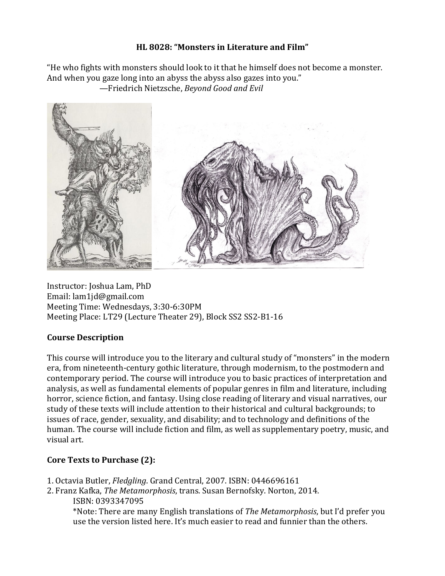### **HL 8028: "Monsters in Literature and Film"**

"He who fights with monsters should look to it that he himself does not become a monster. And when you gaze long into an abyss the abyss also gazes into you." —Friedrich Nietzsche, *Beyond Good and Evil*



Instructor: Joshua Lam, PhD Email: lam1jd@gmail.com Meeting Time: Wednesdays, 3:30-6:30PM Meeting Place: LT29 (Lecture Theater 29), Block SS2 SS2-B1-16

## **Course Description**

This course will introduce you to the literary and cultural study of "monsters" in the modern era, from nineteenth-century gothic literature, through modernism, to the postmodern and contemporary period. The course will introduce you to basic practices of interpretation and analysis, as well as fundamental elements of popular genres in film and literature, including horror, science fiction, and fantasy. Using close reading of literary and visual narratives, our study of these texts will include attention to their historical and cultural backgrounds; to issues of race, gender, sexuality, and disability; and to technology and definitions of the human. The course will include fiction and film, as well as supplementary poetry, music, and visual art.

# **Core Texts to Purchase (2):**

- 1. Octavia Butler, *Fledgling*. Grand Central, 2007. ISBN: 0446696161
- 2. Franz Kafka, *The Metamorphosis*, trans. Susan Bernofsky. Norton, 2014. ISBN: 0393347095

\*Note: There are many English translations of *The Metamorphosis*, but I'd prefer you use the version listed here. It's much easier to read and funnier than the others.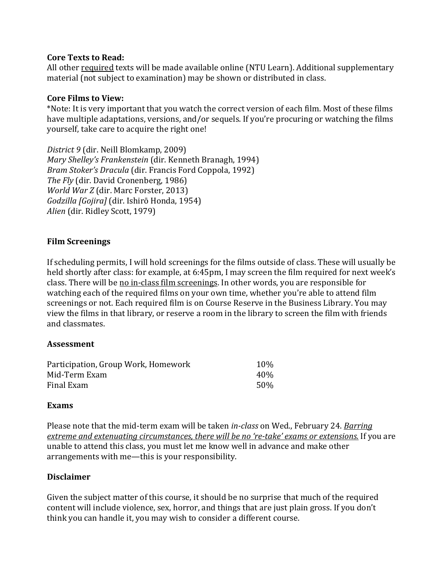#### **Core Texts to Read:**

All other required texts will be made available online (NTU Learn). Additional supplementary material (not subject to examination) may be shown or distributed in class.

#### **Core Films to View:**

\*Note: It is very important that you watch the correct version of each film. Most of these films have multiple adaptations, versions, and/or sequels. If you're procuring or watching the films yourself, take care to acquire the right one!

*District 9* (dir. Neill Blomkamp, 2009) *Mary Shelley's Frankenstein* (dir. Kenneth Branagh, 1994) *Bram Stoker's Dracula* (dir. Francis Ford Coppola, 1992) *The Fly* (dir. David Cronenberg, 1986) *World War Z* (dir. Marc Forster, 2013) *Godzilla [Gojira]* (dir. Ishirō Honda, 1954) *Alien* (dir. Ridley Scott, 1979)

### **Film Screenings**

If scheduling permits, I will hold screenings for the films outside of class. These will usually be held shortly after class: for example, at 6:45pm, I may screen the film required for next week's class. There will be no in-class film screenings. In other words, you are responsible for watching each of the required films on your own time, whether you're able to attend film screenings or not. Each required film is on Course Reserve in the Business Library. You may view the films in that library, or reserve a room in the library to screen the film with friends and classmates.

### **Assessment**

| Participation, Group Work, Homework | 10%  |
|-------------------------------------|------|
| Mid-Term Exam                       | 40%  |
| Final Exam                          | .50% |

#### **Exams**

Please note that the mid-term exam will be taken *in-class* on Wed., February 24. *Barring extreme and extenuating circumstances, there will be no 're-take' exams or extensions.* If you are unable to attend this class, you must let me know well in advance and make other arrangements with me—this is your responsibility.

### **Disclaimer**

Given the subject matter of this course, it should be no surprise that much of the required content will include violence, sex, horror, and things that are just plain gross. If you don't think you can handle it, you may wish to consider a different course.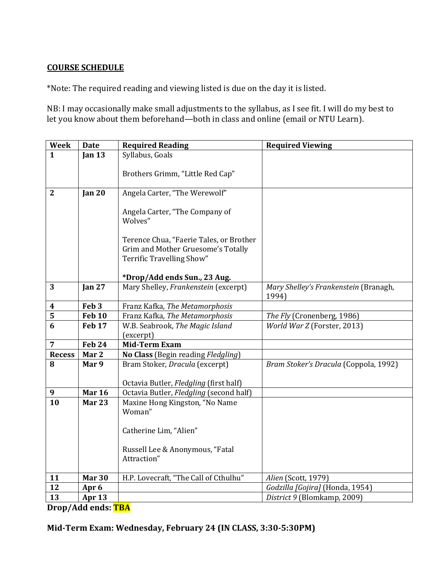### **COURSE SCHEDULE**

\*Note: The required reading and viewing listed is due on the day it is listed.

NB: I may occasionally make small adjustments to the syllabus, as I see fit. I will do my best to let you know about them beforehand—both in class and online (email or NTU Learn).

| Week           | <b>Date</b>       | <b>Required Reading</b>                      | <b>Required Viewing</b>                        |
|----------------|-------------------|----------------------------------------------|------------------------------------------------|
| $\mathbf{1}$   | Jan $13$          | Syllabus, Goals                              |                                                |
|                |                   |                                              |                                                |
|                |                   | Brothers Grimm, "Little Red Cap"             |                                                |
|                |                   | Angela Carter, "The Werewolf"                |                                                |
| $\mathbf{2}$   | Jan $20$          |                                              |                                                |
|                |                   | Angela Carter, "The Company of<br>Wolves"    |                                                |
|                |                   |                                              |                                                |
|                |                   | Terence Chua, "Faerie Tales, or Brother      |                                                |
|                |                   | Grim and Mother Gruesome's Totally           |                                                |
|                |                   | Terrific Travelling Show"                    |                                                |
|                |                   |                                              |                                                |
|                |                   | *Drop/Add ends Sun., 23 Aug.                 |                                                |
| 3              | Jan <sub>27</sub> | Mary Shelley, Frankenstein (excerpt)         | Mary Shelley's Frankenstein (Branagh,<br>1994) |
| 4              | Feb <sub>3</sub>  | Franz Kafka, The Metamorphosis               |                                                |
| 5              | <b>Feb 10</b>     | Franz Kafka, The Metamorphosis               | The Fly (Cronenberg, 1986)                     |
| 6              | <b>Feb 17</b>     | W.B. Seabrook, The Magic Island<br>(excerpt) | World War Z (Forster, 2013)                    |
| $\overline{7}$ | <b>Feb 24</b>     | <b>Mid-Term Exam</b>                         |                                                |
| <b>Recess</b>  | Mar 2             | No Class (Begin reading Fledgling)           |                                                |
| 8              | Mar 9             | Bram Stoker, Dracula (excerpt)               | Bram Stoker's Dracula (Coppola, 1992)          |
|                |                   | Octavia Butler, Fledgling (first half)       |                                                |
| 9              | <b>Mar 16</b>     | Octavia Butler, Fledgling (second half)      |                                                |
| 10             | <b>Mar 23</b>     | Maxine Hong Kingston, "No Name               |                                                |
|                |                   | Woman"                                       |                                                |
|                |                   |                                              |                                                |
|                |                   | Catherine Lim, "Alien"                       |                                                |
|                |                   | Russell Lee & Anonymous, "Fatal              |                                                |
|                |                   | Attraction"                                  |                                                |
|                |                   |                                              |                                                |
| 11             | <b>Mar 30</b>     | H.P. Lovecraft, "The Call of Cthulhu"        | Alien (Scott, 1979)                            |
| 12             | Apr 6             |                                              | Godzilla [Gojira] (Honda, 1954)                |
| 13             | Apr <sub>13</sub> |                                              | District 9 (Blomkamp, 2009)                    |

**Drop/Add ends: TBA**

**Mid-Term Exam: Wednesday, February 24 (IN CLASS, 3:30-5:30PM)**